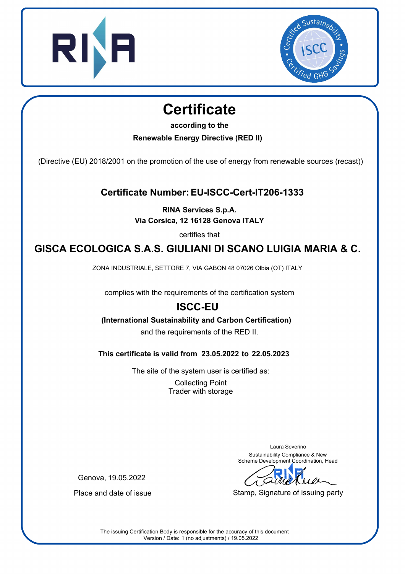



## **Certificate**

**according to the**

**Renewable Energy Directive (RED II)**

(Directive (EU) 2018/2001 on the promotion of the use of energy from renewable sources (recast))

**Certificate Number: EU-ISCC-Cert-IT206-1333**

**RINA Services S.p.A. Via Corsica, 12 16128 Genova ITALY**

certifies that

## **GISCA ECOLOGICA S.A.S. GIULIANI DI SCANO LUIGIA MARIA & C.**

ZONA INDUSTRIALE, SETTORE 7, VIA GABON 48 07026 Olbia (OT) ITALY

complies with the requirements of the certification system

## **ISCC-EU**

**(International Sustainability and Carbon Certification)**

and the requirements of the RED II.

**This certificate is valid from 23.05.2022 to 22.05.2023**

The site of the system user is certified as: Collecting Point Trader with storage

> Laura Severino Sustainability Compliance & New Scheme Development Coordination, Head

Stamp, Signature of issuing party

Genova, 19.05.2022

Place and date of issue

The issuing Certification Body is responsible for the accuracy of this document Version / Date: 1 (no adjustments) / 19.05.2022